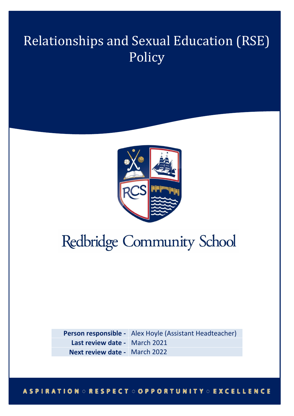## Relationships and Sexual Education (RSE) Policy



# Redbridge Community School

**Person responsible -** Alex Hoyle (Assistant Headteacher) **Last review date -** March 2021 **Next review date -** March 2022

#### **ASPIRATION ORESPECT OOPPORTUNITY OEXCELLENCE**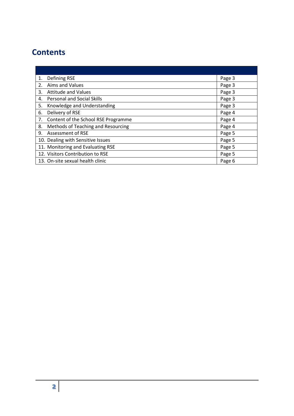### **Contents**

| 1. | Defining RSE                        | Page 3 |
|----|-------------------------------------|--------|
| 2. | Aims and Values                     | Page 3 |
| 3. | <b>Attitude and Values</b>          | Page 3 |
| 4. | <b>Personal and Social Skills</b>   | Page 3 |
| 5. | Knowledge and Understanding         | Page 3 |
| 6. | Delivery of RSE                     | Page 4 |
| 7. | Content of the School RSE Programme | Page 4 |
| 8. | Methods of Teaching and Resourcing  | Page 4 |
| 9. | Assessment of RSE                   | Page 5 |
|    | 10. Dealing with Sensitive Issues   | Page 5 |
|    | 11. Monitoring and Evaluating RSE   | Page 5 |
|    | 12. Visitors Contribution to RSE    | Page 5 |
|    | 13. On-site sexual health clinic    | Page 6 |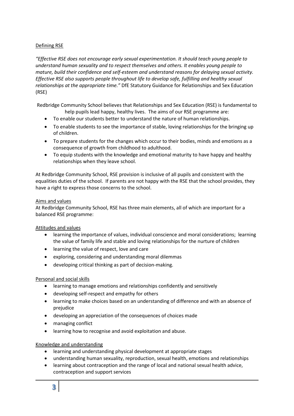#### Defining RSE

*"Effective RSE does not encourage early sexual experimentation. It should teach young people to understand human sexuality and to respect themselves and others. It enables young people to mature, build their confidence and self-esteem and understand reasons for delaying sexual activity. Effective RSE also supports people throughout life to develop safe, fulfilling and healthy sexual relationships at the appropriate time."* DfE Statutory Guidance for Relationships and Sex Education (RSE)

Redbridge Community School believes that Relationships and Sex Education (RSE) is fundamental to help pupils lead happy, healthy lives. The aims of our RSE programme are:

- To enable our students better to understand the nature of human relationships.
- To enable students to see the importance of stable, loving relationships for the bringing up of children.
- To prepare students for the changes which occur to their bodies, minds and emotions as a consequence of growth from childhood to adulthood.
- To equip students with the knowledge and emotional maturity to have happy and healthy relationships when they leave school.

At Redbridge Community School, RSE provision is inclusive of all pupils and consistent with the equalities duties of the school. If parents are not happy with the RSE that the school provides, they have a right to express those concerns to the school.

#### Aims and values

At Redbridge Community School, RSE has three main elements, all of which are important for a balanced RSE programme:

#### Attitudes and values

- learning the importance of values, individual conscience and moral considerations; learning the value of family life and stable and loving relationships for the nurture of children
- learning the value of respect, love and care
- exploring, considering and understanding moral dilemmas
- developing critical thinking as part of decision-making.

#### Personal and social skills

- learning to manage emotions and relationships confidently and sensitively
- developing self-respect and empathy for others
- learning to make choices based on an understanding of difference and with an absence of prejudice
- developing an appreciation of the consequences of choices made
- managing conflict
- learning how to recognise and avoid exploitation and abuse.

#### Knowledge and understanding

- learning and understanding physical development at appropriate stages
- understanding human sexuality, reproduction, sexual health, emotions and relationships
- learning about contraception and the range of local and national sexual health advice, contraception and support services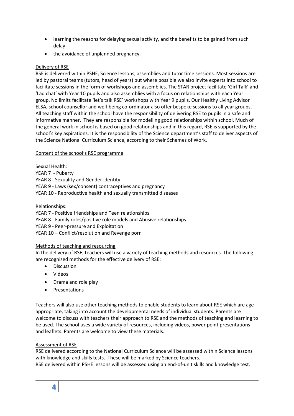- learning the reasons for delaying sexual activity, and the benefits to be gained from such delay
- the avoidance of unplanned pregnancy.

#### Delivery of RSE

RSE is delivered within PSHE, Science lessons, assemblies and tutor time sessions. Most sessions are led by pastoral teams (tutors, head of years) but where possible we also invite experts into school to facilitate sessions in the form of workshops and assemblies. The STAR project facilitate 'Girl Talk' and 'Lad chat' with Year 10 pupils and also assemblies with a focus on relationships with each Year group. No limits facilitate 'let's talk RSE' workshops with Year 9 pupils. Our Healthy Living Advisor ELSA, school counsellor and well-being co-ordinator also offer bespoke sessions to all year groups. All teaching staff within the school have the responsibility of delivering RSE to pupils in a safe and informative manner. They are responsible for modelling good relationships within school. Much of the general work in school is based on good relationships and in this regard, RSE is supported by the school's key aspirations. It is the responsibility of the Science department's staff to deliver aspects of the Science National Curriculum Science, according to their Schemes of Work.

#### Content of the school's RSE programme

Sexual Health:

YEAR 7 - Puberty

YEAR 8 - Sexuality and Gender identity

YEAR 9 - Laws (sex/consent) contraceptives and pregnancy

YEAR 10 - Reproductive health and sexually transmitted diseases

Relationships:

YEAR 7 - Positive friendships and Teen relationships

YEAR 8 - Family roles/positive role models and Abusive relationships

YEAR 9 - Peer-pressure and Exploitation

YEAR 10 – Conflict/resolution and Revenge porn

#### Methods of teaching and resourcing

In the delivery of RSE, teachers will use a variety of teaching methods and resources. The following are recognised methods for the effective delivery of RSE:

- Discussion
- Videos
- Drama and role play
- Presentations

Teachers will also use other teaching methods to enable students to learn about RSE which are age appropriate, taking into account the developmental needs of individual students. Parents are welcome to discuss with teachers their approach to RSE and the methods of teaching and learning to be used. The school uses a wide variety of resources, including videos, power point presentations and leaflets. Parents are welcome to view these materials.

#### Assessment of RSE

RSE delivered according to the National Curriculum Science will be assessed within Science lessons with knowledge and skills tests. These will be marked by Science teachers. RSE delivered within PSHE lessons will be assessed using an end-of-unit skills and knowledge test.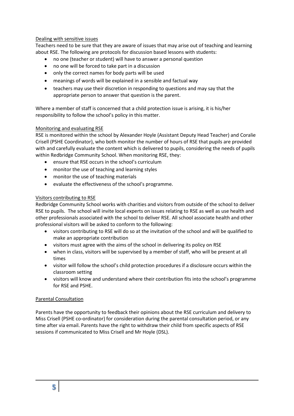#### Dealing with sensitive issues

Teachers need to be sure that they are aware of issues that may arise out of teaching and learning about RSE. The following are protocols for discussion based lessons with students:

- no one (teacher or student) will have to answer a personal question
- no one will be forced to take part in a discussion
- only the correct names for body parts will be used
- meanings of words will be explained in a sensible and factual way
- teachers may use their discretion in responding to questions and may say that the appropriate person to answer that question is the parent.

Where a member of staff is concerned that a child protection issue is arising, it is his/her responsibility to follow the school's policy in this matter.

#### Monitoring and evaluating RSE

RSE is monitored within the school by Alexander Hoyle (Assistant Deputy Head Teacher) and Coralie Crisell (PSHE Coordinator), who both monitor the number of hours of RSE that pupils are provided with and carefully evaluate the content which is delivered to pupils, considering the needs of pupils within Redbridge Community School. When monitoring RSE, they:

- ensure that RSE occurs in the school's curriculum
- monitor the use of teaching and learning styles
- monitor the use of teaching materials
- evaluate the effectiveness of the school's programme.

#### Visitors contributing to RSE

Redbridge Community School works with charities and visitors from outside of the school to deliver RSE to pupils. The school will invite local experts on issues relating to RSE as well as use health and other professionals associated with the school to deliver RSE. All school associate health and other professional visitors will be asked to conform to the following:

- visitors contributing to RSE will do so at the invitation of the school and will be qualified to make an appropriate contribution
- visitors must agree with the aims of the school in delivering its policy on RSE
- when in class, visitors will be supervised by a member of staff, who will be present at all times
- visitor will follow the school's child protection procedures if a disclosure occurs within the classroom setting
- visitors will know and understand where their contribution fits into the school's programme for RSE and PSHE.

#### Parental Consultation

Parents have the opportunity to feedback their opinions about the RSE curriculum and delivery to Miss Crisell (PSHE co-ordinator) for consideration during the parental consultation period, or any time after via email. Parents have the right to withdraw their child from specific aspects of RSE sessions if communicated to Miss Crisell and Mr Hoyle (DSL).